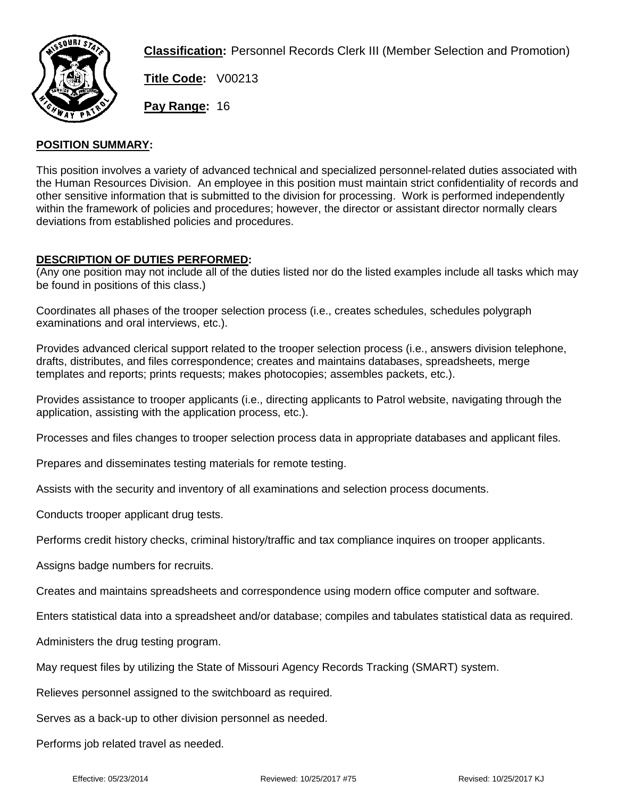

**Classification:** Personnel Records Clerk III (Member Selection and Promotion)

**Title Code:** V00213

**Pay Range:** 16

## **POSITION SUMMARY:**

This position involves a variety of advanced technical and specialized personnel-related duties associated with the Human Resources Division. An employee in this position must maintain strict confidentiality of records and other sensitive information that is submitted to the division for processing. Work is performed independently within the framework of policies and procedures; however, the director or assistant director normally clears deviations from established policies and procedures.

## **DESCRIPTION OF DUTIES PERFORMED:**

(Any one position may not include all of the duties listed nor do the listed examples include all tasks which may be found in positions of this class.)

Coordinates all phases of the trooper selection process (i.e., creates schedules, schedules polygraph examinations and oral interviews, etc.).

Provides advanced clerical support related to the trooper selection process (i.e., answers division telephone, drafts, distributes, and files correspondence; creates and maintains databases, spreadsheets, merge templates and reports; prints requests; makes photocopies; assembles packets, etc.).

Provides assistance to trooper applicants (i.e., directing applicants to Patrol website, navigating through the application, assisting with the application process, etc.).

Processes and files changes to trooper selection process data in appropriate databases and applicant files.

Prepares and disseminates testing materials for remote testing.

Assists with the security and inventory of all examinations and selection process documents.

Conducts trooper applicant drug tests.

Performs credit history checks, criminal history/traffic and tax compliance inquires on trooper applicants.

Assigns badge numbers for recruits.

Creates and maintains spreadsheets and correspondence using modern office computer and software.

Enters statistical data into a spreadsheet and/or database; compiles and tabulates statistical data as required.

Administers the drug testing program.

May request files by utilizing the State of Missouri Agency Records Tracking (SMART) system.

Relieves personnel assigned to the switchboard as required.

Serves as a back-up to other division personnel as needed.

Performs job related travel as needed.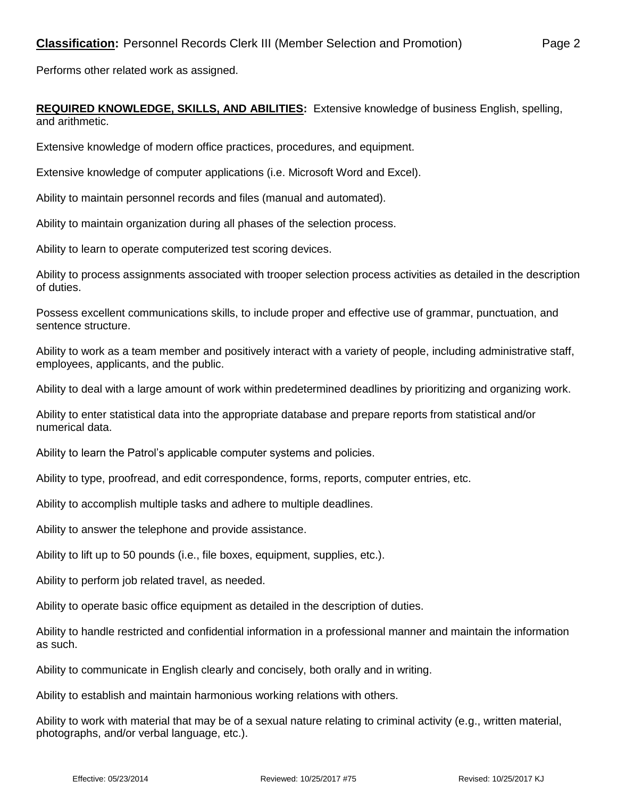Performs other related work as assigned.

## **REQUIRED KNOWLEDGE, SKILLS, AND ABILITIES:** Extensive knowledge of business English, spelling, and arithmetic.

Extensive knowledge of modern office practices, procedures, and equipment.

Extensive knowledge of computer applications (i.e. Microsoft Word and Excel).

Ability to maintain personnel records and files (manual and automated).

Ability to maintain organization during all phases of the selection process.

Ability to learn to operate computerized test scoring devices.

Ability to process assignments associated with trooper selection process activities as detailed in the description of duties.

Possess excellent communications skills, to include proper and effective use of grammar, punctuation, and sentence structure.

Ability to work as a team member and positively interact with a variety of people, including administrative staff, employees, applicants, and the public.

Ability to deal with a large amount of work within predetermined deadlines by prioritizing and organizing work.

Ability to enter statistical data into the appropriate database and prepare reports from statistical and/or numerical data.

Ability to learn the Patrol's applicable computer systems and policies.

Ability to type, proofread, and edit correspondence, forms, reports, computer entries, etc.

Ability to accomplish multiple tasks and adhere to multiple deadlines.

Ability to answer the telephone and provide assistance.

Ability to lift up to 50 pounds (i.e., file boxes, equipment, supplies, etc.).

Ability to perform job related travel, as needed.

Ability to operate basic office equipment as detailed in the description of duties.

Ability to handle restricted and confidential information in a professional manner and maintain the information as such.

Ability to communicate in English clearly and concisely, both orally and in writing.

Ability to establish and maintain harmonious working relations with others.

Ability to work with material that may be of a sexual nature relating to criminal activity (e.g., written material, photographs, and/or verbal language, etc.).